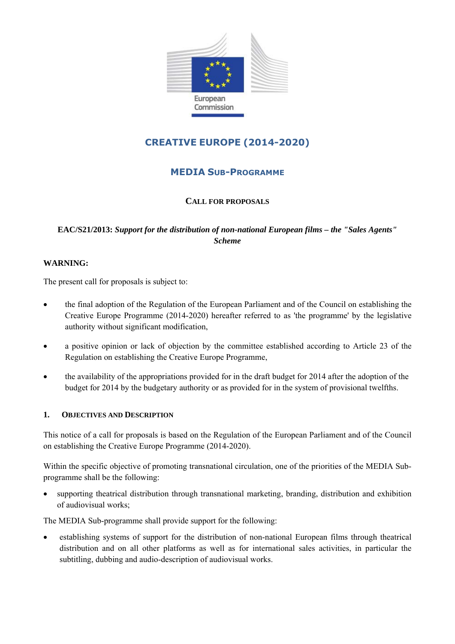

# **CREATIVE EUROPE (2014-2020)**

# **MEDIA SUB-PROGRAMME**

### **CALL FOR PROPOSALS**

# **EAC/S21/2013:** *Support for the distribution of non-national European films – the "Sales Agents" Scheme*

#### **WARNING:**

The present call for proposals is subject to:

- the final adoption of the Regulation of the European Parliament and of the Council on establishing the Creative Europe Programme (2014-2020) hereafter referred to as 'the programme' by the legislative authority without significant modification,
- a positive opinion or lack of objection by the committee established according to Article 23 of the Regulation on establishing the Creative Europe Programme,
- the availability of the appropriations provided for in the draft budget for 2014 after the adoption of the budget for 2014 by the budgetary authority or as provided for in the system of provisional twelfths.

#### **1. OBJECTIVES AND DESCRIPTION**

This notice of a call for proposals is based on the Regulation of the European Parliament and of the Council on establishing the Creative Europe Programme (2014-2020).

Within the specific objective of promoting transnational circulation, one of the priorities of the MEDIA Subprogramme shall be the following:

• supporting theatrical distribution through transnational marketing, branding, distribution and exhibition of audiovisual works;

The MEDIA Sub-programme shall provide support for the following:

• establishing systems of support for the distribution of non-national European films through theatrical distribution and on all other platforms as well as for international sales activities, in particular the subtitling, dubbing and audio-description of audiovisual works.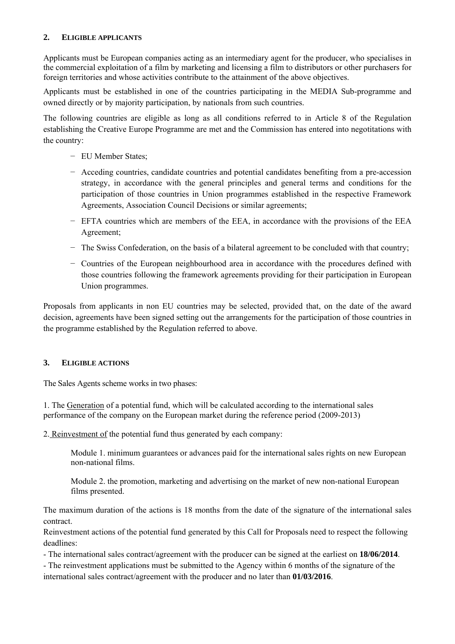#### **2. ELIGIBLE APPLICANTS**

Applicants must be European companies acting as an intermediary agent for the producer, who specialises in the commercial exploitation of a film by marketing and licensing a film to distributors or other purchasers for foreign territories and whose activities contribute to the attainment of the above objectives.

Applicants must be established in one of the countries participating in the MEDIA Sub-programme and owned directly or by majority participation, by nationals from such countries.

The following countries are eligible as long as all conditions referred to in Article 8 of the Regulation establishing the Creative Europe Programme are met and the Commission has entered into negotitations with the country:

- − EU Member States;
- − Acceding countries, candidate countries and potential candidates benefiting from a pre-accession strategy, in accordance with the general principles and general terms and conditions for the participation of those countries in Union programmes established in the respective Framework Agreements, Association Council Decisions or similar agreements;
- − EFTA countries which are members of the EEA, in accordance with the provisions of the EEA Agreement;
- − The Swiss Confederation, on the basis of a bilateral agreement to be concluded with that country;
- − Countries of the European neighbourhood area in accordance with the procedures defined with those countries following the framework agreements providing for their participation in European Union programmes.

Proposals from applicants in non EU countries may be selected, provided that, on the date of the award decision, agreements have been signed setting out the arrangements for the participation of those countries in the programme established by the Regulation referred to above.

#### **3. ELIGIBLE ACTIONS**

The Sales Agents scheme works in two phases:

1. The Generation of a potential fund, which will be calculated according to the international sales performance of the company on the European market during the reference period (2009-2013)

2. Reinvestment of the potential fund thus generated by each company:

 Module 1. minimum guarantees or advances paid for the international sales rights on new European non-national films.

 Module 2. the promotion, marketing and advertising on the market of new non-national European films presented.

The maximum duration of the actions is 18 months from the date of the signature of the international sales contract.

Reinvestment actions of the potential fund generated by this Call for Proposals need to respect the following deadlines:

- The international sales contract/agreement with the producer can be signed at the earliest on **18/06/2014**.

- The reinvestment applications must be submitted to the Agency within 6 months of the signature of the international sales contract/agreement with the producer and no later than **01/03/2016**.